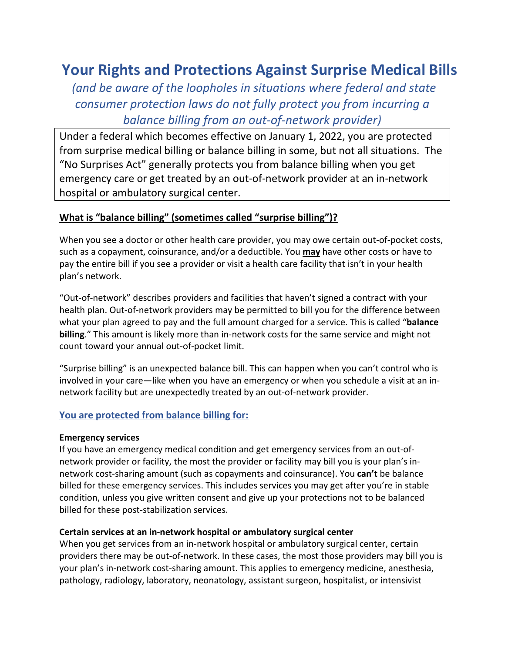# **Your Rights and Protections Against Surprise Medical Bills**

*(and be aware of the loopholes in situations where federal and state consumer protection laws do not fully protect you from incurring a balance billing from an out-of-network provider)*

Under a federal which becomes effective on January 1, 2022, you are protected from surprise medical billing or balance billing in some, but not all situations. The "No Surprises Act" generally protects you from balance billing when you get emergency care or get treated by an out-of-network provider at an in-network hospital or ambulatory surgical center.

### **What is "balance billing" (sometimes called "surprise billing")?**

When you see a doctor or other health care provider, you may owe certain out-of-pocket costs, such as a copayment, coinsurance, and/or a deductible. You **may** have other costs or have to pay the entire bill if you see a provider or visit a health care facility that isn't in your health plan's network.

"Out-of-network" describes providers and facilities that haven't signed a contract with your health plan. Out-of-network providers may be permitted to bill you for the difference between what your plan agreed to pay and the full amount charged for a service. This is called "**balance billing**." This amount is likely more than in-network costs for the same service and might not count toward your annual out-of-pocket limit.

"Surprise billing" is an unexpected balance bill. This can happen when you can't control who is involved in your care—like when you have an emergency or when you schedule a visit at an innetwork facility but are unexpectedly treated by an out-of-network provider.

#### **You are protected from balance billing for:**

#### **Emergency services**

If you have an emergency medical condition and get emergency services from an out-ofnetwork provider or facility, the most the provider or facility may bill you is your plan's innetwork cost-sharing amount (such as copayments and coinsurance). You **can't** be balance billed for these emergency services. This includes services you may get after you're in stable condition, unless you give written consent and give up your protections not to be balanced billed for these post-stabilization services.

#### **Certain services at an in-network hospital or ambulatory surgical center**

When you get services from an in-network hospital or ambulatory surgical center, certain providers there may be out-of-network. In these cases, the most those providers may bill you is your plan's in-network cost-sharing amount. This applies to emergency medicine, anesthesia, pathology, radiology, laboratory, neonatology, assistant surgeon, hospitalist, or intensivist